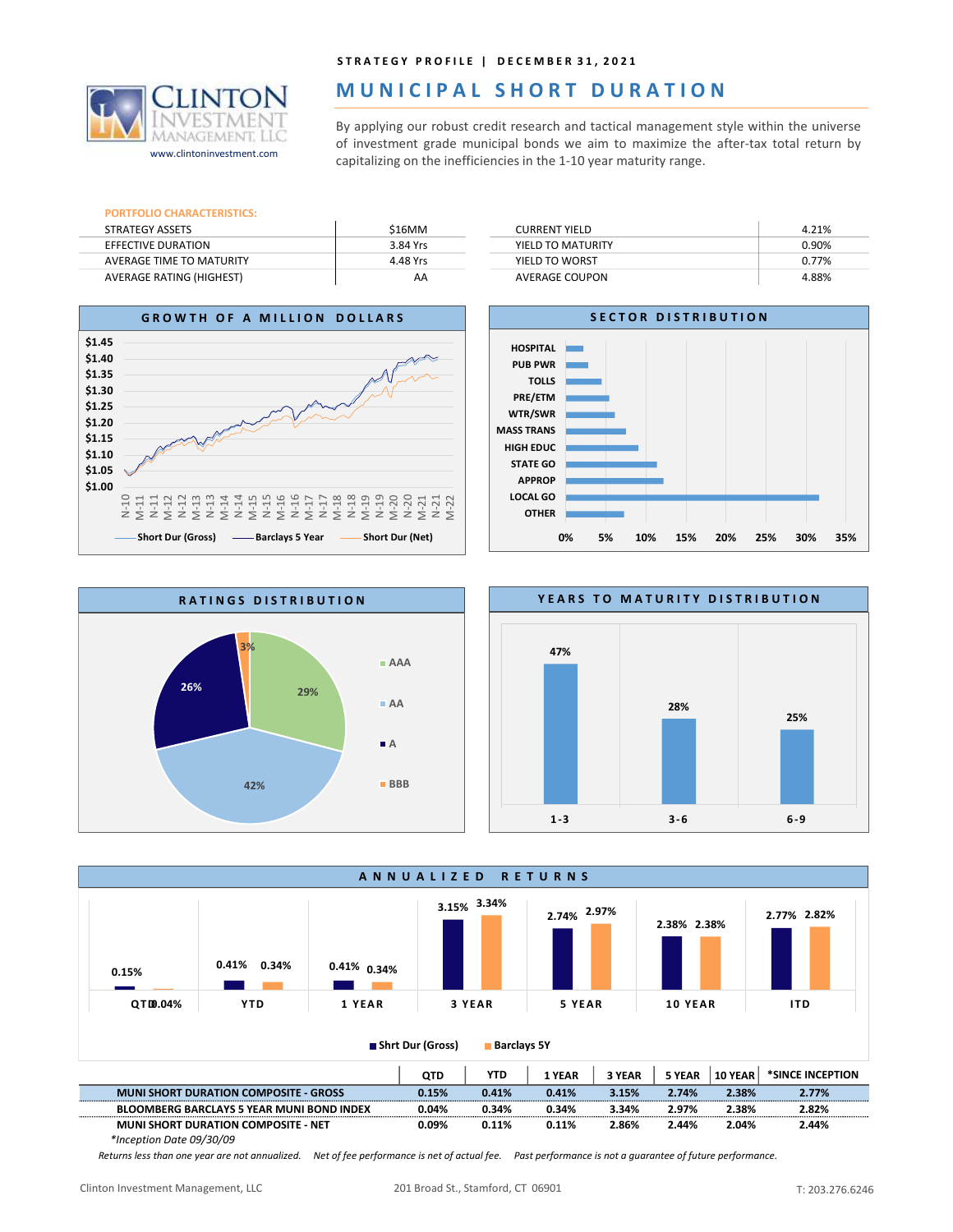

## STRATEGY PROFILE | DECEMBER 31, 2021

# MUNICIPAL SHORT DURATION

STRATEGY PROFILE | DECEMBER 31, 2021<br> **MUNICIPAL SHORT DURATION**<br>
By applying our robust credit research and tactical management style within the universe<br>
of investment grade municipal bonds we aim to maximize the after-t **STRATEGY PROFILE | DECEMBER 31, 2021**<br> **OF URLATION**<br>
By applying our robust credit research and tactical management style within the universe<br>
of investment grade municipal bonds we aim to maximize the after-tax total r of investment grade municipal bonds we aim to maximize the after-tax total return by<br>capitalizing on the inefficiencies in the 1-10 year maturity range.

|                                       |          | STRATEGY PROFILE   DECEMBER 31, 2021                                                                                                                                                                                                                    |       |
|---------------------------------------|----------|---------------------------------------------------------------------------------------------------------------------------------------------------------------------------------------------------------------------------------------------------------|-------|
|                                       |          | MUNICIPAL SHORT DURATION                                                                                                                                                                                                                                |       |
| MANAGEME<br>www.clintoninvestment.com |          | By applying our robust credit research and tactical management style within the universe<br>of investment grade municipal bonds we aim to maximize the after-tax total return by<br>capitalizing on the inefficiencies in the 1-10 year maturity range. |       |
|                                       |          |                                                                                                                                                                                                                                                         |       |
| <b>PORTFOLIO CHARACTERISTICS:</b>     |          |                                                                                                                                                                                                                                                         |       |
| <b>STRATEGY ASSETS</b>                | \$16MM   | <b>CURRENT YIELD</b>                                                                                                                                                                                                                                    | 4.21% |
| <b>EFFECTIVE DURATION</b>             | 3.84 Yrs | YIELD TO MATURITY                                                                                                                                                                                                                                       | 0.90% |
| <b>AVERAGE TIME TO MATURITY</b>       | 4.48 Yrs | YIELD TO WORST                                                                                                                                                                                                                                          | 0.77% |









A N N U A L I Z E D R E T U R N S 0.15% 0.41% 0.41% 0.34% 0.34%  $\frac{3.15\%}{2.71\%}$  2.74% 2.77% 2.82% 2.77% 2.82% 2.38% 2.77% 2.97% QTD0.04% YTD 1 YEAR 3 YEAR  $3.34\%$  $2.38\%$   $\frac{11111}{2}$ 2.82% Q TD Y TD 1 YEA R 3 YE AR 5 YE AR 1 0 YE AR I TD Shrt Dur (Gross) Barclays 5Y

|                                                  | <b>QTD</b> | YTD   | YEAR     | 3 YEAR | 5 YEAR | 10 YEAR | *SINCE INCEPTION |
|--------------------------------------------------|------------|-------|----------|--------|--------|---------|------------------|
| <b>MUNI SHORT DURATION COMPOSITE - GROSS</b>     | 0.15%      | 0.41% | 0.41%    | 3.15%  | 2.74%  | 2.38%   | 2.77%            |
| <b>BLOOMBERG BARCLAYS 5 YEAR MUNI BOND INDEX</b> | 0.04%      | 0.34% | $0.34\%$ | 3.34%  | 2.97%  | 2.38%   | 2.82%            |
| <b>MUNI SHORT DURATION COMPOSITE - NET</b>       | 0.09%      | 0.11% | 0.11%    | 2.86%  | 2.44%  | 2.04%   | 2.44%            |
| $*Incontion Data MO/20/00$                       |            |       |          |        |        |         |                  |

\*Inception Date 09/30/09

Returns less than one year are not annualized. Net of fee performance is net of actual fee. Past performance is not a guarantee of future performance.